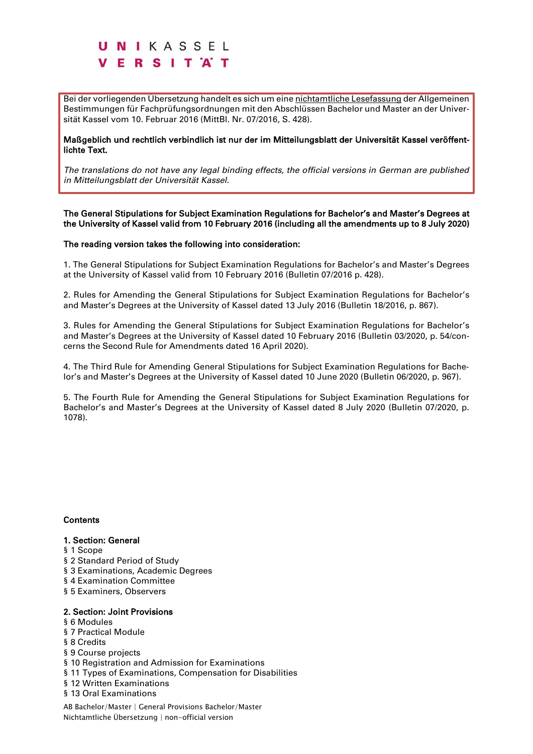Bei der vorliegenden Übersetzung handelt es sich um eine nichtamtliche Lesefassung der Allgemeinen Bestimmungen für Fachprüfungsordnungen mit den Abschlüssen Bachelor und Master an der Universität Kassel vom 10. Februar 2016 (MittBl. Nr. 07/2016, S. 428).

Maßgeblich und rechtlich verbindlich ist nur der im Mitteilungsblatt der Universität Kassel veröffentlichte Text.

*The translations do not have any legal binding effects, the official versions in German are published in Mitteilungsblatt der Universität Kassel.*

### The General Stipulations for Subject Examination Regulations for Bachelor's and Master's Degrees at the University of Kassel valid from 10 February 2016 (including all the amendments up to 8 July 2020)

#### The reading version takes the following into consideration:

1. The General Stipulations for Subject Examination Regulations for Bachelor's and Master's Degrees at the University of Kassel valid from 10 February 2016 (Bulletin 07/2016 p. 428).

2. Rules for Amending the General Stipulations for Subject Examination Regulations for Bachelor's and Master's Degrees at the University of Kassel dated 13 July 2016 (Bulletin 18/2016, p. 867).

3. Rules for Amending the General Stipulations for Subject Examination Regulations for Bachelor's and Master's Degrees at the University of Kassel dated 10 February 2016 (Bulletin 03/2020, p. 54/concerns the Second Rule for Amendments dated 16 April 2020).

4. The Third Rule for Amending General Stipulations for Subject Examination Regulations for Bachelor's and Master's Degrees at the University of Kassel dated 10 June 2020 (Bulletin 06/2020, p. 967).

5. The Fourth Rule for Amending the General Stipulations for Subject Examination Regulations for Bachelor's and Master's Degrees at the University of Kassel dated 8 July 2020 (Bulletin 07/2020, p. 1078).

#### **Contents**

#### 1. Section: General

- § 1 Scope
- § 2 Standard Period of Study
- § 3 Examinations, Academic Degrees
- § 4 Examination Committee
- § 5 Examiners, Observers

### 2. Section: Joint Provisions

- § 6 Modules
- § 7 Practical Module
- § 8 Credits
- § 9 Course projects
- § 10 Registration and Admission for Examinations
- § 11 Types of Examinations, Compensation for Disabilities
- § 12 Written Examinations
- § 13 Oral Examinations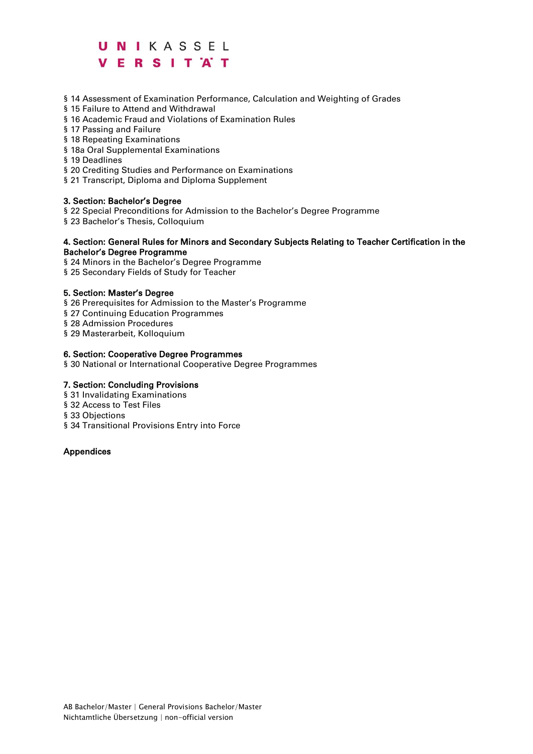§ 14 Assessment of Examination Performance, Calculation and Weighting of Grades

- § 15 Failure to Attend and Withdrawal
- § 16 Academic Fraud and Violations of Examination Rules
- § 17 Passing and Failure
- § 18 Repeating Examinations
- § 18a Oral Supplemental Examinations
- § 19 Deadlines
- § 20 Crediting Studies and Performance on Examinations
- § 21 Transcript, Diploma and Diploma Supplement

#### 3. Section: Bachelor's Degree

- § 22 Special Preconditions for Admission to the Bachelor's Degree Programme
- § 23 Bachelor's Thesis, Colloquium

#### 4. Section: General Rules for Minors and Secondary Subjects Relating to Teacher Certification in the Bachelor's Degree Programme

§ 24 Minors in the Bachelor's Degree Programme

§ 25 Secondary Fields of Study for Teacher

#### 5. Section: Master's Degree

- § 26 Prerequisites for Admission to the Master's Programme
- § 27 Continuing Education Programmes

§ 28 Admission Procedures

§ 29 Masterarbeit, Kolloquium

#### 6. Section: Cooperative Degree Programmes

§ 30 National or International Cooperative Degree Programmes

#### 7. Section: Concluding Provisions

- § 31 Invalidating Examinations
- § 32 Access to Test Files
- § 33 Objections
- § 34 Transitional Provisions Entry into Force

#### Appendices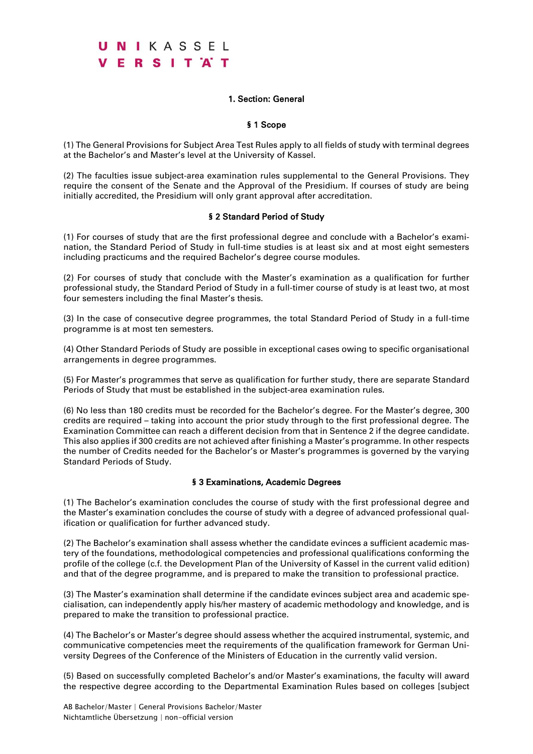### 1. Section: General

### § 1 Scope

(1) The General Provisions for Subject Area Test Rules apply to all fields of study with terminal degrees at the Bachelor's and Master's level at the University of Kassel.

(2) The faculties issue subject-area examination rules supplemental to the General Provisions. They require the consent of the Senate and the Approval of the Presidium. If courses of study are being initially accredited, the Presidium will only grant approval after accreditation.

### § 2 Standard Period of Study

(1) For courses of study that are the first professional degree and conclude with a Bachelor's examination, the Standard Period of Study in full-time studies is at least six and at most eight semesters including practicums and the required Bachelor's degree course modules.

(2) For courses of study that conclude with the Master's examination as a qualification for further professional study, the Standard Period of Study in a full-timer course of study is at least two, at most four semesters including the final Master's thesis.

(3) In the case of consecutive degree programmes, the total Standard Period of Study in a full-time programme is at most ten semesters.

(4) Other Standard Periods of Study are possible in exceptional cases owing to specific organisational arrangements in degree programmes.

(5) For Master's programmes that serve as qualification for further study, there are separate Standard Periods of Study that must be established in the subject-area examination rules.

(6) No less than 180 credits must be recorded for the Bachelor's degree. For the Master's degree, 300 credits are required – taking into account the prior study through to the first professional degree. The Examination Committee can reach a different decision from that in Sentence 2 if the degree candidate. This also applies if 300 credits are not achieved after finishing a Master's programme. In other respects the number of Credits needed for the Bachelor's or Master's programmes is governed by the varying Standard Periods of Study.

#### § 3 Examinations, Academic Degrees

(1) The Bachelor's examination concludes the course of study with the first professional degree and the Master's examination concludes the course of study with a degree of advanced professional qualification or qualification for further advanced study.

(2) The Bachelor's examination shall assess whether the candidate evinces a sufficient academic mastery of the foundations, methodological competencies and professional qualifications conforming the profile of the college (c.f. the Development Plan of the University of Kassel in the current valid edition) and that of the degree programme, and is prepared to make the transition to professional practice.

(3) The Master's examination shall determine if the candidate evinces subject area and academic specialisation, can independently apply his/her mastery of academic methodology and knowledge, and is prepared to make the transition to professional practice.

(4) The Bachelor's or Master's degree should assess whether the acquired instrumental, systemic, and communicative competencies meet the requirements of the qualification framework for German University Degrees of the Conference of the Ministers of Education in the currently valid version.

(5) Based on successfully completed Bachelor's and/or Master's examinations, the faculty will award the respective degree according to the Departmental Examination Rules based on colleges [subject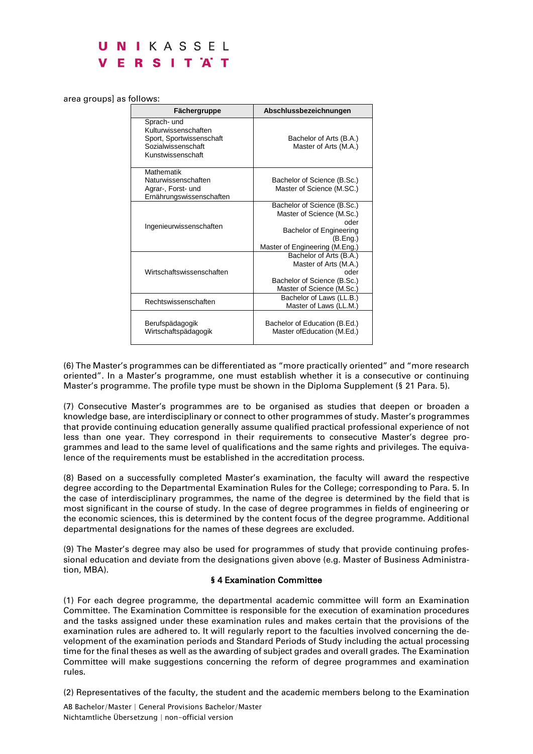#### area groups] as follows:

| Fächergruppe                                                                                               | Abschlussbezeichnungen                                                                                                                    |
|------------------------------------------------------------------------------------------------------------|-------------------------------------------------------------------------------------------------------------------------------------------|
| Sprach- und<br>Kulturwissenschaften<br>Sport, Sportwissenschaft<br>Sozialwissenschaft<br>Kunstwissenschaft | Bachelor of Arts (B.A.)<br>Master of Arts (M.A.)                                                                                          |
| <b>Mathematik</b><br>Naturwissenschaften<br>Agrar-, Forst- und<br>Ernährungswissenschaften                 | Bachelor of Science (B.Sc.)<br>Master of Science (M.SC.)                                                                                  |
| Ingenieurwissenschaften                                                                                    | Bachelor of Science (B.Sc.)<br>Master of Science (M.Sc.)<br>oder<br>Bachelor of Engineering<br>(B.Eng.)<br>Master of Engineering (M.Eng.) |
| Wirtschaftswissenschaften                                                                                  | Bachelor of Arts (B.A.)<br>Master of Arts (M.A.)<br>oder<br>Bachelor of Science (B.Sc.)<br>Master of Science (M.Sc.)                      |
| Rechtswissenschaften                                                                                       | Bachelor of Laws (LL.B.)<br>Master of Laws (LL.M.)                                                                                        |
| Berufspädagogik<br>Wirtschaftspädagogik                                                                    | Bachelor of Education (B.Ed.)<br>Master of Education (M.Ed.)                                                                              |

(6) The Master's programmes can be differentiated as "more practically oriented" and "more research oriented". In a Master's programme, one must establish whether it is a consecutive or continuing Master's programme. The profile type must be shown in the Diploma Supplement (§ 21 Para. 5).

(7) Consecutive Master's programmes are to be organised as studies that deepen or broaden a knowledge base, are interdisciplinary or connect to other programmes of study. Master's programmes that provide continuing education generally assume qualified practical professional experience of not less than one year. They correspond in their requirements to consecutive Master's degree programmes and lead to the same level of qualifications and the same rights and privileges. The equivalence of the requirements must be established in the accreditation process.

(8) Based on a successfully completed Master's examination, the faculty will award the respective degree according to the Departmental Examination Rules for the College; corresponding to Para. 5. In the case of interdisciplinary programmes, the name of the degree is determined by the field that is most significant in the course of study. In the case of degree programmes in fields of engineering or the economic sciences, this is determined by the content focus of the degree programme. Additional departmental designations for the names of these degrees are excluded.

(9) The Master's degree may also be used for programmes of study that provide continuing professional education and deviate from the designations given above (e.g. Master of Business Administration, MBA).

#### § 4 Examination Committee

(1) For each degree programme, the departmental academic committee will form an Examination Committee. The Examination Committee is responsible for the execution of examination procedures and the tasks assigned under these examination rules and makes certain that the provisions of the examination rules are adhered to. It will regularly report to the faculties involved concerning the development of the examination periods and Standard Periods of Study including the actual processing time for the final theses as well as the awarding of subject grades and overall grades. The Examination Committee will make suggestions concerning the reform of degree programmes and examination rules.

(2) Representatives of the faculty, the student and the academic members belong to the Examination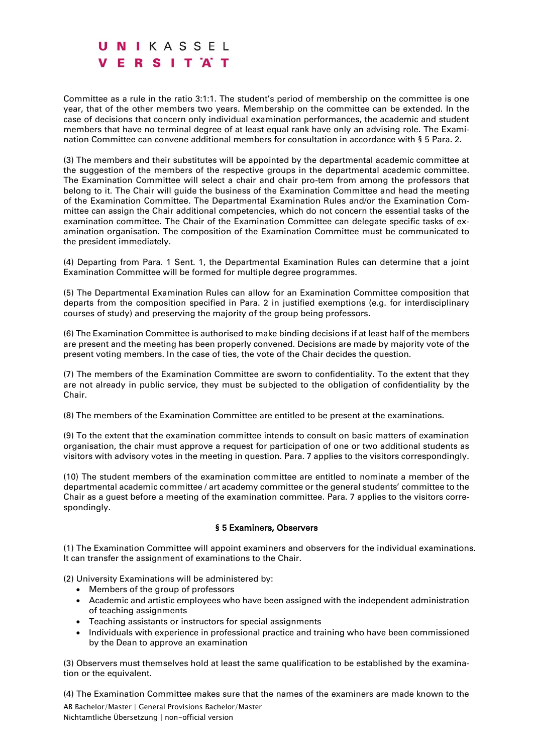Committee as a rule in the ratio 3:1:1. The student's period of membership on the committee is one year, that of the other members two years. Membership on the committee can be extended. In the case of decisions that concern only individual examination performances, the academic and student members that have no terminal degree of at least equal rank have only an advising role. The Examination Committee can convene additional members for consultation in accordance with § 5 Para. 2.

(3) The members and their substitutes will be appointed by the departmental academic committee at the suggestion of the members of the respective groups in the departmental academic committee. The Examination Committee will select a chair and chair pro-tem from among the professors that belong to it. The Chair will guide the business of the Examination Committee and head the meeting of the Examination Committee. The Departmental Examination Rules and/or the Examination Committee can assign the Chair additional competencies, which do not concern the essential tasks of the examination committee. The Chair of the Examination Committee can delegate specific tasks of examination organisation. The composition of the Examination Committee must be communicated to the president immediately.

(4) Departing from Para. 1 Sent. 1, the Departmental Examination Rules can determine that a joint Examination Committee will be formed for multiple degree programmes.

(5) The Departmental Examination Rules can allow for an Examination Committee composition that departs from the composition specified in Para. 2 in justified exemptions (e.g. for interdisciplinary courses of study) and preserving the majority of the group being professors.

(6) The Examination Committee is authorised to make binding decisions if at least half of the members are present and the meeting has been properly convened. Decisions are made by majority vote of the present voting members. In the case of ties, the vote of the Chair decides the question.

(7) The members of the Examination Committee are sworn to confidentiality. To the extent that they are not already in public service, they must be subjected to the obligation of confidentiality by the Chair.

(8) The members of the Examination Committee are entitled to be present at the examinations.

(9) To the extent that the examination committee intends to consult on basic matters of examination organisation, the chair must approve a request for participation of one or two additional students as visitors with advisory votes in the meeting in question. Para. 7 applies to the visitors correspondingly.

(10) The student members of the examination committee are entitled to nominate a member of the departmental academic committee / art academy committee or the general students' committee to the Chair as a guest before a meeting of the examination committee. Para. 7 applies to the visitors correspondingly.

#### § 5 Examiners, Observers

(1) The Examination Committee will appoint examiners and observers for the individual examinations. It can transfer the assignment of examinations to the Chair.

(2) University Examinations will be administered by:

- Members of the group of professors
- Academic and artistic employees who have been assigned with the independent administration of teaching assignments
- Teaching assistants or instructors for special assignments
- Individuals with experience in professional practice and training who have been commissioned by the Dean to approve an examination

(3) Observers must themselves hold at least the same qualification to be established by the examination or the equivalent.

AB Bachelor/Master | General Provisions Bachelor/Master (4) The Examination Committee makes sure that the names of the examiners are made known to the

Nichtamtliche Übersetzung | non-official version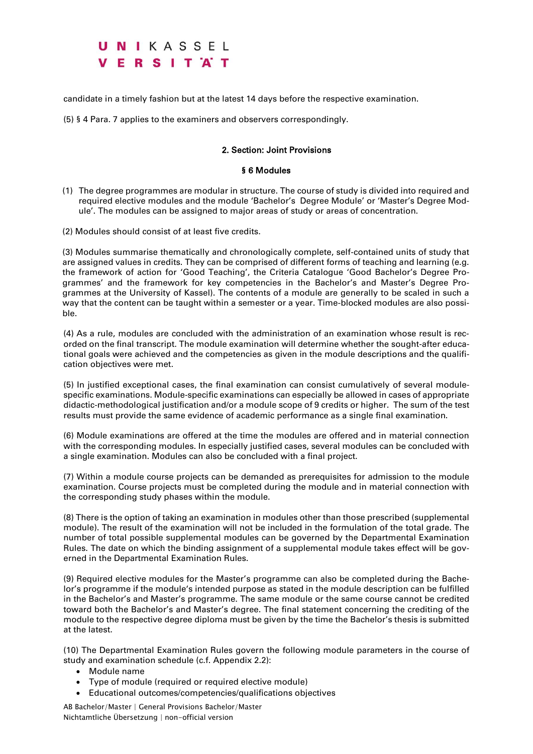candidate in a timely fashion but at the latest 14 days before the respective examination.

(5) § 4 Para. 7 applies to the examiners and observers correspondingly.

### 2. Section: Joint Provisions

#### § 6 Modules

- (1) The degree programmes are modular in structure. The course of study is divided into required and required elective modules and the module 'Bachelor's Degree Module' or 'Master's Degree Module'. The modules can be assigned to major areas of study or areas of concentration.
- (2) Modules should consist of at least five credits.

(3) Modules summarise thematically and chronologically complete, self-contained units of study that are assigned values in credits. They can be comprised of different forms of teaching and learning (e.g. the framework of action for 'Good Teaching', the Criteria Catalogue 'Good Bachelor's Degree Programmes' and the framework for key competencies in the Bachelor's and Master's Degree Programmes at the University of Kassel). The contents of a module are generally to be scaled in such a way that the content can be taught within a semester or a year. Time-blocked modules are also possible.

(4) As a rule, modules are concluded with the administration of an examination whose result is recorded on the final transcript. The module examination will determine whether the sought-after educational goals were achieved and the competencies as given in the module descriptions and the qualification objectives were met.

(5) In justified exceptional cases, the final examination can consist cumulatively of several modulespecific examinations. Module-specific examinations can especially be allowed in cases of appropriate didactic-methodological justification and/or a module scope of 9 credits or higher. The sum of the test results must provide the same evidence of academic performance as a single final examination.

(6) Module examinations are offered at the time the modules are offered and in material connection with the corresponding modules. In especially justified cases, several modules can be concluded with a single examination. Modules can also be concluded with a final project.

(7) Within a module course projects can be demanded as prerequisites for admission to the module examination. Course projects must be completed during the module and in material connection with the corresponding study phases within the module.

(8) There is the option of taking an examination in modules other than those prescribed (supplemental module). The result of the examination will not be included in the formulation of the total grade. The number of total possible supplemental modules can be governed by the Departmental Examination Rules. The date on which the binding assignment of a supplemental module takes effect will be governed in the Departmental Examination Rules.

(9) Required elective modules for the Master's programme can also be completed during the Bachelor's programme if the module's intended purpose as stated in the module description can be fulfilled in the Bachelor's and Master's programme. The same module or the same course cannot be credited toward both the Bachelor's and Master's degree. The final statement concerning the crediting of the module to the respective degree diploma must be given by the time the Bachelor's thesis is submitted at the latest.

(10) The Departmental Examination Rules govern the following module parameters in the course of study and examination schedule (c.f. Appendix 2.2):

- Module name
- Type of module (required or required elective module)
- Educational outcomes/competencies/qualifications objectives
- AB Bachelor/Master | General Provisions Bachelor/Master Nichtamtliche Übersetzung | non-official version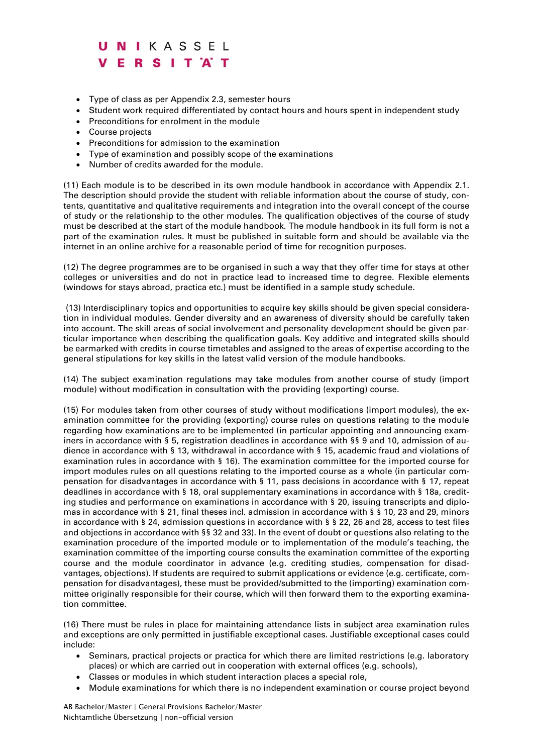- Type of class as per Appendix 2.3, semester hours
- Student work required differentiated by contact hours and hours spent in independent study
- Preconditions for enrolment in the module
- Course projects
- Preconditions for admission to the examination
- Type of examination and possibly scope of the examinations
- Number of credits awarded for the module.

(11) Each module is to be described in its own module handbook in accordance with Appendix 2.1. The description should provide the student with reliable information about the course of study, contents, quantitative and qualitative requirements and integration into the overall concept of the course of study or the relationship to the other modules. The qualification objectives of the course of study must be described at the start of the module handbook. The module handbook in its full form is not a part of the examination rules. It must be published in suitable form and should be available via the internet in an online archive for a reasonable period of time for recognition purposes.

(12) The degree programmes are to be organised in such a way that they offer time for stays at other colleges or universities and do not in practice lead to increased time to degree. Flexible elements (windows for stays abroad, practica etc.) must be identified in a sample study schedule.

(13) Interdisciplinary topics and opportunities to acquire key skills should be given special consideration in individual modules. Gender diversity and an awareness of diversity should be carefully taken into account. The skill areas of social involvement and personality development should be given particular importance when describing the qualification goals. Key additive and integrated skills should be earmarked with credits in course timetables and assigned to the areas of expertise according to the general stipulations for key skills in the latest valid version of the module handbooks.

(14) The subject examination regulations may take modules from another course of study (import module) without modification in consultation with the providing (exporting) course.

(15) For modules taken from other courses of study without modifications (import modules), the examination committee for the providing (exporting) course rules on questions relating to the module regarding how examinations are to be implemented (in particular appointing and announcing examiners in accordance with § 5, registration deadlines in accordance with §§ 9 and 10, admission of audience in accordance with § 13, withdrawal in accordance with § 15, academic fraud and violations of examination rules in accordance with § 16). The examination committee for the imported course for import modules rules on all questions relating to the imported course as a whole (in particular compensation for disadvantages in accordance with § 11, pass decisions in accordance with § 17, repeat deadlines in accordance with § 18, oral supplementary examinations in accordance with § 18a, crediting studies and performance on examinations in accordance with § 20, issuing transcripts and diplomas in accordance with § 21, final theses incl. admission in accordance with § § 10, 23 and 29, minors in accordance with § 24, admission questions in accordance with § § 22, 26 and 28, access to test files and objections in accordance with §§ 32 and 33). In the event of doubt or questions also relating to the examination procedure of the imported module or to implementation of the module's teaching, the examination committee of the importing course consults the examination committee of the exporting course and the module coordinator in advance (e.g. crediting studies, compensation for disadvantages, objections). If students are required to submit applications or evidence (e.g. certificate, compensation for disadvantages), these must be provided/submitted to the (importing) examination committee originally responsible for their course, which will then forward them to the exporting examination committee.

(16) There must be rules in place for maintaining attendance lists in subject area examination rules and exceptions are only permitted in justifiable exceptional cases. Justifiable exceptional cases could include:

- Seminars, practical projects or practica for which there are limited restrictions (e.g. laboratory places) or which are carried out in cooperation with external offices (e.g. schools),
- Classes or modules in which student interaction places a special role,
- Module examinations for which there is no independent examination or course project beyond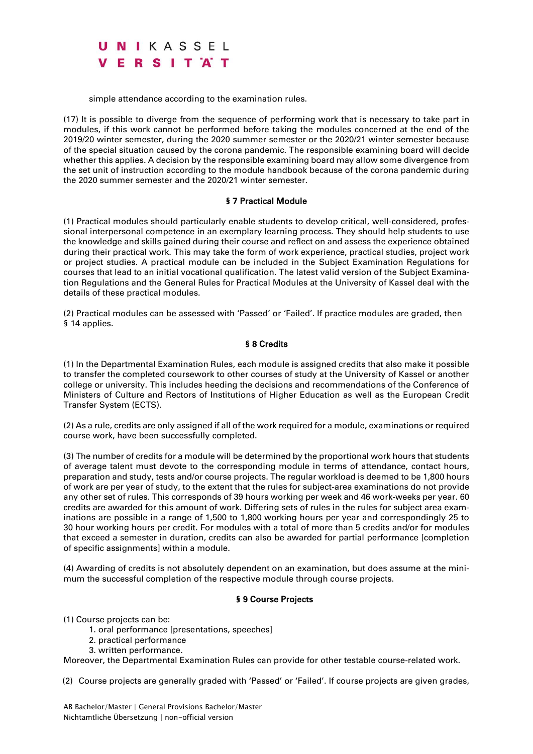simple attendance according to the examination rules.

(17) It is possible to diverge from the sequence of performing work that is necessary to take part in modules, if this work cannot be performed before taking the modules concerned at the end of the 2019/20 winter semester, during the 2020 summer semester or the 2020/21 winter semester because of the special situation caused by the corona pandemic. The responsible examining board will decide whether this applies. A decision by the responsible examining board may allow some divergence from the set unit of instruction according to the module handbook because of the corona pandemic during the 2020 summer semester and the 2020/21 winter semester.

#### § 7 Practical Module

(1) Practical modules should particularly enable students to develop critical, well-considered, professional interpersonal competence in an exemplary learning process. They should help students to use the knowledge and skills gained during their course and reflect on and assess the experience obtained during their practical work. This may take the form of work experience, practical studies, project work or project studies. A practical module can be included in the Subject Examination Regulations for courses that lead to an initial vocational qualification. The latest valid version of the Subject Examination Regulations and the General Rules for Practical Modules at the University of Kassel deal with the details of these practical modules.

(2) Practical modules can be assessed with 'Passed' or 'Failed'. If practice modules are graded, then § 14 applies.

#### § 8 Credits

(1) In the Departmental Examination Rules, each module is assigned credits that also make it possible to transfer the completed coursework to other courses of study at the University of Kassel or another college or university. This includes heeding the decisions and recommendations of the Conference of Ministers of Culture and Rectors of Institutions of Higher Education as well as the European Credit Transfer System (ECTS).

(2) As a rule, credits are only assigned if all of the work required for a module, examinations or required course work, have been successfully completed.

(3) The number of credits for a module will be determined by the proportional work hours that students of average talent must devote to the corresponding module in terms of attendance, contact hours, preparation and study, tests and/or course projects. The regular workload is deemed to be 1,800 hours of work are per year of study, to the extent that the rules for subject-area examinations do not provide any other set of rules. This corresponds of 39 hours working per week and 46 work-weeks per year. 60 credits are awarded for this amount of work. Differing sets of rules in the rules for subject area examinations are possible in a range of 1,500 to 1,800 working hours per year and correspondingly 25 to 30 hour working hours per credit. For modules with a total of more than 5 credits and/or for modules that exceed a semester in duration, credits can also be awarded for partial performance [completion of specific assignments] within a module.

(4) Awarding of credits is not absolutely dependent on an examination, but does assume at the minimum the successful completion of the respective module through course projects.

#### § 9 Course Projects

(1) Course projects can be:

- 1. oral performance [presentations, speeches]
- 2. practical performance
- 3. written performance.

Moreover, the Departmental Examination Rules can provide for other testable course-related work.

(2) Course projects are generally graded with 'Passed' or 'Failed'. If course projects are given grades,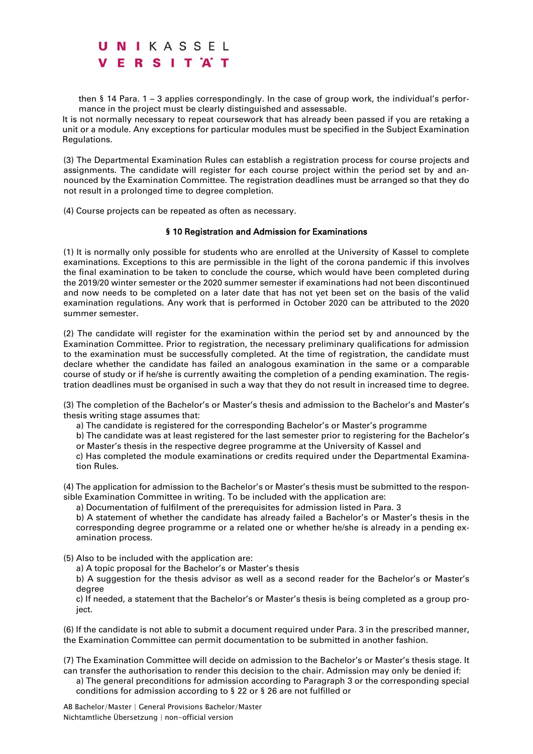then § 14 Para. 1 – 3 applies correspondingly. In the case of group work, the individual's performance in the project must be clearly distinguished and assessable.

It is not normally necessary to repeat coursework that has already been passed if you are retaking a unit or a module. Any exceptions for particular modules must be specified in the Subject Examination Regulations.

(3) The Departmental Examination Rules can establish a registration process for course projects and assignments. The candidate will register for each course project within the period set by and announced by the Examination Committee. The registration deadlines must be arranged so that they do not result in a prolonged time to degree completion.

(4) Course projects can be repeated as often as necessary.

#### § 10 Registration and Admission for Examinations

(1) It is normally only possible for students who are enrolled at the University of Kassel to complete examinations. Exceptions to this are permissible in the light of the corona pandemic if this involves the final examination to be taken to conclude the course, which would have been completed during the 2019/20 winter semester or the 2020 summer semester if examinations had not been discontinued and now needs to be completed on a later date that has not yet been set on the basis of the valid examination regulations. Any work that is performed in October 2020 can be attributed to the 2020 summer semester.

(2) The candidate will register for the examination within the period set by and announced by the Examination Committee. Prior to registration, the necessary preliminary qualifications for admission to the examination must be successfully completed. At the time of registration, the candidate must declare whether the candidate has failed an analogous examination in the same or a comparable course of study or if he/she is currently awaiting the completion of a pending examination. The registration deadlines must be organised in such a way that they do not result in increased time to degree.

(3) The completion of the Bachelor's or Master's thesis and admission to the Bachelor's and Master's thesis writing stage assumes that:

- a) The candidate is registered for the corresponding Bachelor's or Master's programme
- b) The candidate was at least registered for the last semester prior to registering for the Bachelor's

or Master's thesis in the respective degree programme at the University of Kassel and c) Has completed the module examinations or credits required under the Departmental Examina-

tion Rules.

(4) The application for admission to the Bachelor's or Master's thesis must be submitted to the responsible Examination Committee in writing. To be included with the application are:

a) Documentation of fulfilment of the prerequisites for admission listed in Para. 3

b) A statement of whether the candidate has already failed a Bachelor's or Master's thesis in the corresponding degree programme or a related one or whether he/she is already in a pending examination process.

- (5) Also to be included with the application are:
	- a) A topic proposal for the Bachelor's or Master's thesis

b) A suggestion for the thesis advisor as well as a second reader for the Bachelor's or Master's degree

c) If needed, a statement that the Bachelor's or Master's thesis is being completed as a group project.

(6) If the candidate is not able to submit a document required under Para. 3 in the prescribed manner, the Examination Committee can permit documentation to be submitted in another fashion.

(7) The Examination Committee will decide on admission to the Bachelor's or Master's thesis stage. It can transfer the authorisation to render this decision to the chair. Admission may only be denied if:

a) The general preconditions for admission according to Paragraph 3 or the corresponding special conditions for admission according to § 22 or § 26 are not fulfilled or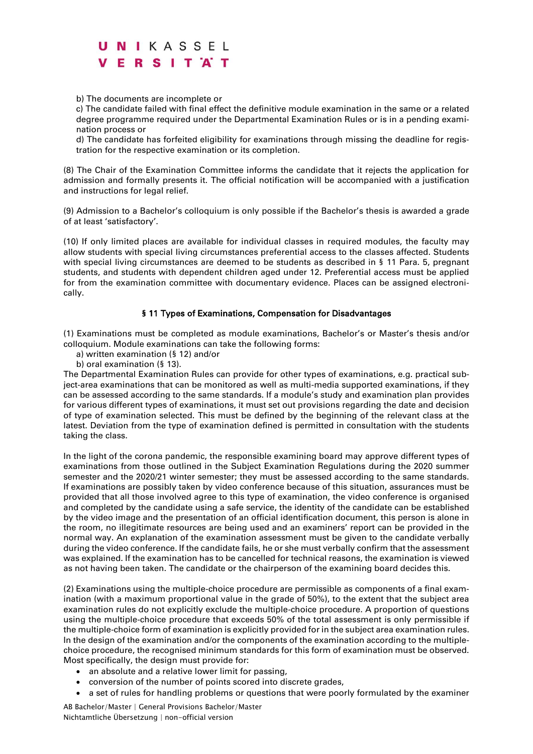b) The documents are incomplete or

c) The candidate failed with final effect the definitive module examination in the same or a related degree programme required under the Departmental Examination Rules or is in a pending examination process or

d) The candidate has forfeited eligibility for examinations through missing the deadline for registration for the respective examination or its completion.

(8) The Chair of the Examination Committee informs the candidate that it rejects the application for admission and formally presents it. The official notification will be accompanied with a justification and instructions for legal relief.

(9) Admission to a Bachelor's colloquium is only possible if the Bachelor's thesis is awarded a grade of at least 'satisfactory'.

(10) If only limited places are available for individual classes in required modules, the faculty may allow students with special living circumstances preferential access to the classes affected. Students with special living circumstances are deemed to be students as described in § 11 Para. 5, pregnant students, and students with dependent children aged under 12. Preferential access must be applied for from the examination committee with documentary evidence. Places can be assigned electronically.

### § 11 Types of Examinations, Compensation for Disadvantages

(1) Examinations must be completed as module examinations, Bachelor's or Master's thesis and/or colloquium. Module examinations can take the following forms:

a) written examination (§ 12) and/or

b) oral examination (§ 13).

The Departmental Examination Rules can provide for other types of examinations, e.g. practical subject-area examinations that can be monitored as well as multi-media supported examinations, if they can be assessed according to the same standards. If a module's study and examination plan provides for various different types of examinations, it must set out provisions regarding the date and decision of type of examination selected. This must be defined by the beginning of the relevant class at the latest. Deviation from the type of examination defined is permitted in consultation with the students taking the class.

In the light of the corona pandemic, the responsible examining board may approve different types of examinations from those outlined in the Subject Examination Regulations during the 2020 summer semester and the 2020/21 winter semester; they must be assessed according to the same standards. If examinations are possibly taken by video conference because of this situation, assurances must be provided that all those involved agree to this type of examination, the video conference is organised and completed by the candidate using a safe service, the identity of the candidate can be established by the video image and the presentation of an official identification document, this person is alone in the room, no illegitimate resources are being used and an examiners' report can be provided in the normal way. An explanation of the examination assessment must be given to the candidate verbally during the video conference. If the candidate fails, he or she must verbally confirm that the assessment was explained. If the examination has to be cancelled for technical reasons, the examination is viewed as not having been taken. The candidate or the chairperson of the examining board decides this.

(2) Examinations using the multiple-choice procedure are permissible as components of a final examination (with a maximum proportional value in the grade of 50%), to the extent that the subject area examination rules do not explicitly exclude the multiple-choice procedure. A proportion of questions using the multiple-choice procedure that exceeds 50% of the total assessment is only permissible if the multiple-choice form of examination is explicitly provided for in the subject area examination rules. In the design of the examination and/or the components of the examination according to the multiplechoice procedure, the recognised minimum standards for this form of examination must be observed. Most specifically, the design must provide for:

- an absolute and a relative lower limit for passing,
- conversion of the number of points scored into discrete grades,
- a set of rules for handling problems or questions that were poorly formulated by the examiner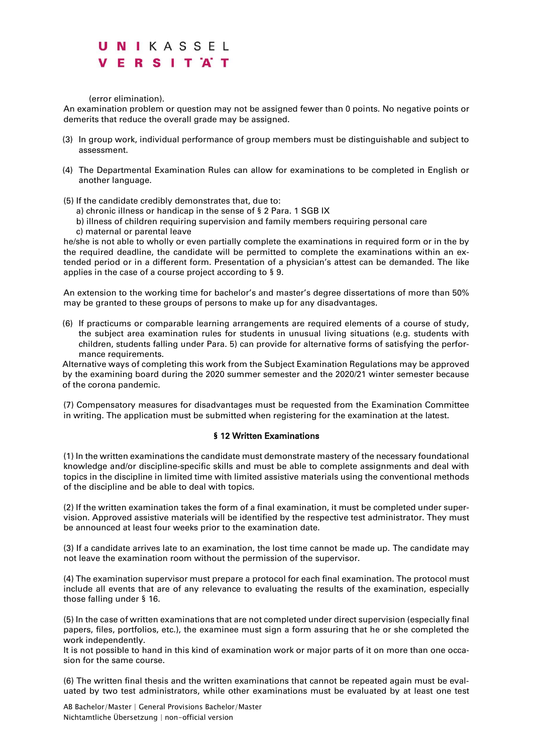(error elimination).

An examination problem or question may not be assigned fewer than 0 points. No negative points or demerits that reduce the overall grade may be assigned.

- (3) In group work, individual performance of group members must be distinguishable and subject to assessment.
- (4) The Departmental Examination Rules can allow for examinations to be completed in English or another language.
- (5) If the candidate credibly demonstrates that, due to:
	- a) chronic illness or handicap in the sense of § 2 Para. 1 SGB IX
	- b) illness of children requiring supervision and family members requiring personal care
	- c) maternal or parental leave

he/she is not able to wholly or even partially complete the examinations in required form or in the by the required deadline, the candidate will be permitted to complete the examinations within an extended period or in a different form. Presentation of a physician's attest can be demanded. The like applies in the case of a course project according to § 9.

An extension to the working time for bachelor's and master's degree dissertations of more than 50% may be granted to these groups of persons to make up for any disadvantages.

(6) If practicums or comparable learning arrangements are required elements of a course of study, the subject area examination rules for students in unusual living situations (e.g. students with children, students falling under Para. 5) can provide for alternative forms of satisfying the performance requirements.

Alternative ways of completing this work from the Subject Examination Regulations may be approved by the examining board during the 2020 summer semester and the 2020/21 winter semester because of the corona pandemic.

(7) Compensatory measures for disadvantages must be requested from the Examination Committee in writing. The application must be submitted when registering for the examination at the latest.

#### § 12 Written Examinations

(1) In the written examinations the candidate must demonstrate mastery of the necessary foundational knowledge and/or discipline-specific skills and must be able to complete assignments and deal with topics in the discipline in limited time with limited assistive materials using the conventional methods of the discipline and be able to deal with topics.

(2) If the written examination takes the form of a final examination, it must be completed under supervision. Approved assistive materials will be identified by the respective test administrator. They must be announced at least four weeks prior to the examination date.

(3) If a candidate arrives late to an examination, the lost time cannot be made up. The candidate may not leave the examination room without the permission of the supervisor.

(4) The examination supervisor must prepare a protocol for each final examination. The protocol must include all events that are of any relevance to evaluating the results of the examination, especially those falling under § 16.

(5) In the case of written examinations that are not completed under direct supervision (especially final papers, files, portfolios, etc.), the examinee must sign a form assuring that he or she completed the work independently.

It is not possible to hand in this kind of examination work or major parts of it on more than one occasion for the same course.

(6) The written final thesis and the written examinations that cannot be repeated again must be evaluated by two test administrators, while other examinations must be evaluated by at least one test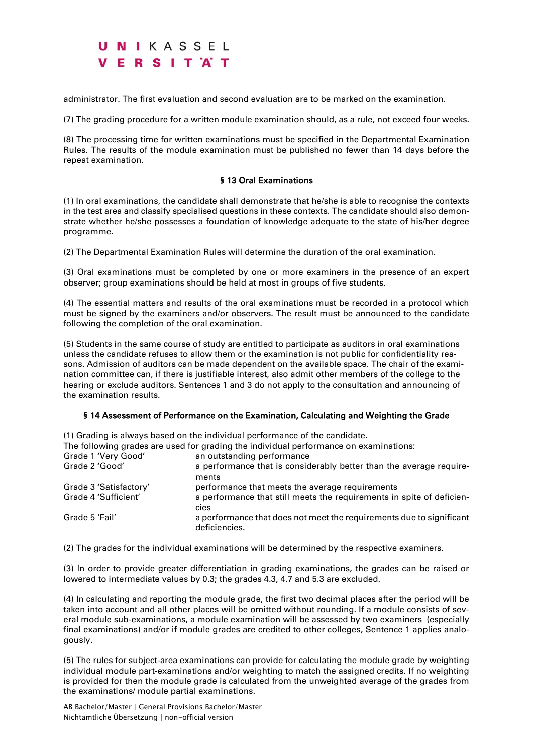administrator. The first evaluation and second evaluation are to be marked on the examination.

(7) The grading procedure for a written module examination should, as a rule, not exceed four weeks.

(8) The processing time for written examinations must be specified in the Departmental Examination Rules. The results of the module examination must be published no fewer than 14 days before the repeat examination.

#### § 13 Oral Examinations

(1) In oral examinations, the candidate shall demonstrate that he/she is able to recognise the contexts in the test area and classify specialised questions in these contexts. The candidate should also demonstrate whether he/she possesses a foundation of knowledge adequate to the state of his/her degree programme.

(2) The Departmental Examination Rules will determine the duration of the oral examination.

(3) Oral examinations must be completed by one or more examiners in the presence of an expert observer; group examinations should be held at most in groups of five students.

(4) The essential matters and results of the oral examinations must be recorded in a protocol which must be signed by the examiners and/or observers. The result must be announced to the candidate following the completion of the oral examination.

(5) Students in the same course of study are entitled to participate as auditors in oral examinations unless the candidate refuses to allow them or the examination is not public for confidentiality reasons. Admission of auditors can be made dependent on the available space. The chair of the examination committee can, if there is justifiable interest, also admit other members of the college to the hearing or exclude auditors. Sentences 1 and 3 do not apply to the consultation and announcing of the examination results.

#### § 14 Assessment of Performance on the Examination, Calculating and Weighting the Grade

(1) Grading is always based on the individual performance of the candidate.

The following grades are used for grading the individual performance on examinations:

| Grade 1 'Very Good'    | an outstanding performance                                                            |
|------------------------|---------------------------------------------------------------------------------------|
| Grade 2 'Good'         | a performance that is considerably better than the average require-<br>ments          |
| Grade 3 'Satisfactory' | performance that meets the average requirements                                       |
| Grade 4 'Sufficient'   | a performance that still meets the requirements in spite of deficien-<br>cies         |
| Grade 5 'Fail'         | a performance that does not meet the requirements due to significant<br>deficiencies. |

(2) The grades for the individual examinations will be determined by the respective examiners.

(3) In order to provide greater differentiation in grading examinations, the grades can be raised or lowered to intermediate values by 0.3; the grades 4.3, 4.7 and 5.3 are excluded.

(4) In calculating and reporting the module grade, the first two decimal places after the period will be taken into account and all other places will be omitted without rounding. If a module consists of several module sub-examinations, a module examination will be assessed by two examiners (especially final examinations) and/or if module grades are credited to other colleges, Sentence 1 applies analogously.

(5) The rules for subject-area examinations can provide for calculating the module grade by weighting individual module part-examinations and/or weighting to match the assigned credits. If no weighting is provided for then the module grade is calculated from the unweighted average of the grades from the examinations/ module partial examinations.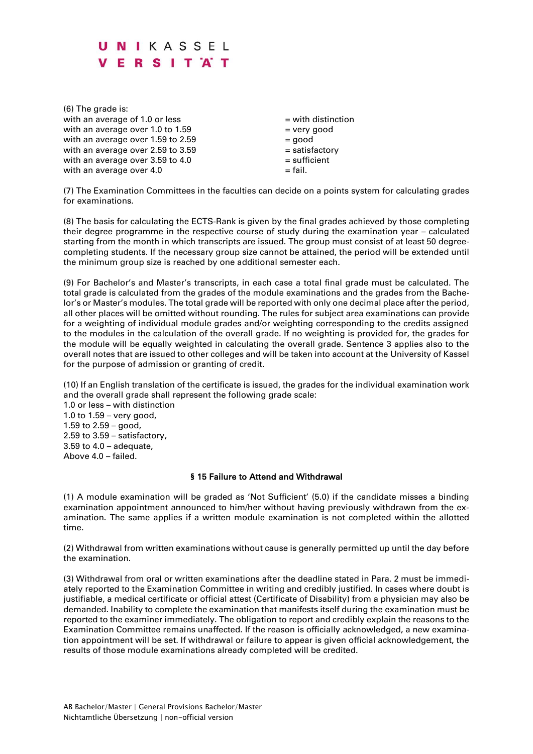(6) The grade is: with an average of 1.0 or less  $=$  with distinction with an average over  $1.0$  to  $1.59$  = very good with an average over  $1.59$  to  $2.59$   $=$   $900d$ with an average over  $2.59$  to  $3.59$   $=$  satisfactory with an average over  $3.59$  to  $4.0$  = sufficient with an average over  $4.0$  = fail.

(7) The Examination Committees in the faculties can decide on a points system for calculating grades for examinations.

(8) The basis for calculating the ECTS-Rank is given by the final grades achieved by those completing their degree programme in the respective course of study during the examination year – calculated starting from the month in which transcripts are issued. The group must consist of at least 50 degreecompleting students. If the necessary group size cannot be attained, the period will be extended until the minimum group size is reached by one additional semester each.

(9) For Bachelor's and Master's transcripts, in each case a total final grade must be calculated. The total grade is calculated from the grades of the module examinations and the grades from the Bachelor's or Master's modules. The total grade will be reported with only one decimal place after the period, all other places will be omitted without rounding. The rules for subject area examinations can provide for a weighting of individual module grades and/or weighting corresponding to the credits assigned to the modules in the calculation of the overall grade. If no weighting is provided for, the grades for the module will be equally weighted in calculating the overall grade. Sentence 3 applies also to the overall notes that are issued to other colleges and will be taken into account at the University of Kassel for the purpose of admission or granting of credit.

(10) If an English translation of the certificate is issued, the grades for the individual examination work and the overall grade shall represent the following grade scale:

1.0 or less – with distinction 1.0 to  $1.59$  – very good, 1.59 to 2.59 – good, 2.59 to 3.59 – satisfactory,  $3.59$  to  $4.0$  – adequate, Above 4.0 – failed.

### § 15 Failure to Attend and Withdrawal

(1) A module examination will be graded as 'Not Sufficient' (5.0) if the candidate misses a binding examination appointment announced to him/her without having previously withdrawn from the examination. The same applies if a written module examination is not completed within the allotted time.

(2) Withdrawal from written examinations without cause is generally permitted up until the day before the examination.

(3) Withdrawal from oral or written examinations after the deadline stated in Para. 2 must be immediately reported to the Examination Committee in writing and credibly justified. In cases where doubt is justifiable, a medical certificate or official attest (Certificate of Disability) from a physician may also be demanded. Inability to complete the examination that manifests itself during the examination must be reported to the examiner immediately. The obligation to report and credibly explain the reasons to the Examination Committee remains unaffected. If the reason is officially acknowledged, a new examination appointment will be set. If withdrawal or failure to appear is given official acknowledgement, the results of those module examinations already completed will be credited.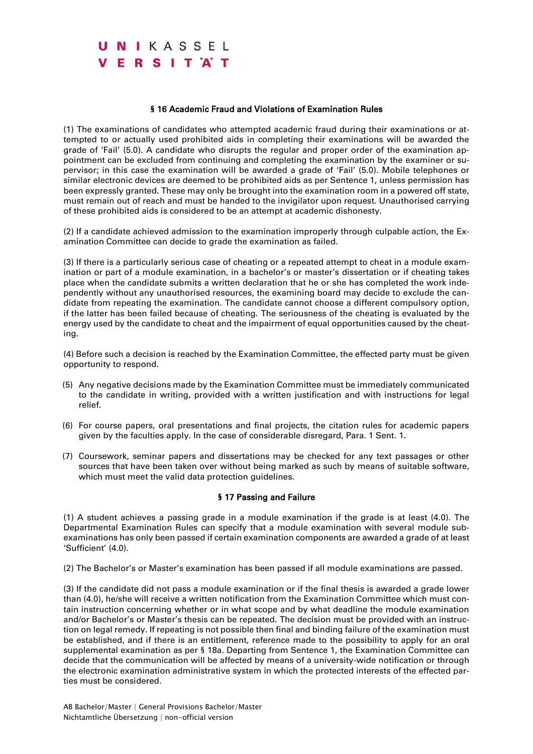### § 16 Academic Fraud and Violations of Examination Rules

(1) The examinations of candidates who attempted academic fraud during their examinations or attempted to or actually used prohibited aids in completing their examinations will be awarded the grade of 'Fail' (5.0). A candidate who disrupts the regular and proper order of the examination appointment can be excluded from continuing and completing the examination by the examiner or supervisor; in this case the examination will be awarded a grade of 'Fail' (5.0). Mobile telephones or similar electronic devices are deemed to be prohibited aids as per Sentence 1, unless permission has been expressly granted. These may only be brought into the examination room in a powered off state, must remain out of reach and must be handed to the invigilator upon request. Unauthorised carrying of these prohibited aids is considered to be an attempt at academic dishonesty.

(2) If a candidate achieved admission to the examination improperly through culpable action, the Examination Committee can decide to grade the examination as failed.

(3) If there is a particularly serious case of cheating or a repeated attempt to cheat in a module examination or part of a module examination, in a bachelor's or master's dissertation or if cheating takes place when the candidate submits a written declaration that he or she has completed the work independently without any unauthorised resources, the examining board may decide to exclude the candidate from repeating the examination. The candidate cannot choose a different compulsory option, if the latter has been failed because of cheating. The seriousness of the cheating is evaluated by the energy used by the candidate to cheat and the impairment of equal opportunities caused by the cheating.

(4) Before such a decision is reached by the Examination Committee, the effected party must be given opportunity to respond.

- (5) Any negative decisions made by the Examination Committee must be immediately communicated to the candidate in writing, provided with a written justification and with instructions for legal relief.
- (6) For course papers, oral presentations and final projects, the citation rules for academic papers given by the faculties apply. In the case of considerable disregard, Para. 1 Sent. 1.
- (7) Coursework, seminar papers and dissertations may be checked for any text passages or other sources that have been taken over without being marked as such by means of suitable software, which must meet the valid data protection quidelines.

#### § 17 Passing and Failure

(1) A student achieves a passing grade in a module examination if the grade is at least (4.0). The Departmental Examination Rules can specify that a module examination with several module subexaminations has only been passed if certain examination components are awarded a grade of at least 'Sufficient' (4.0).

(2) The Bachelor's or Master's examination has been passed if all module examinations are passed.

(3) If the candidate did not pass a module examination or if the final thesis is awarded a grade lower than (4.0), he/she will receive a written notification from the Examination Committee which must contain instruction concerning whether or in what scope and by what deadline the module examination and/or Bachelor's or Master's thesis can be repeated. The decision must be provided with an instruction on legal remedy. If repeating is not possible then final and binding failure of the examination must be established, and if there is an entitlement, reference made to the possibility to apply for an oral supplemental examination as per § 18a. Departing from Sentence 1, the Examination Committee can decide that the communication will be affected by means of a university-wide notification or through the electronic examination administrative system in which the protected interests of the effected parties must be considered.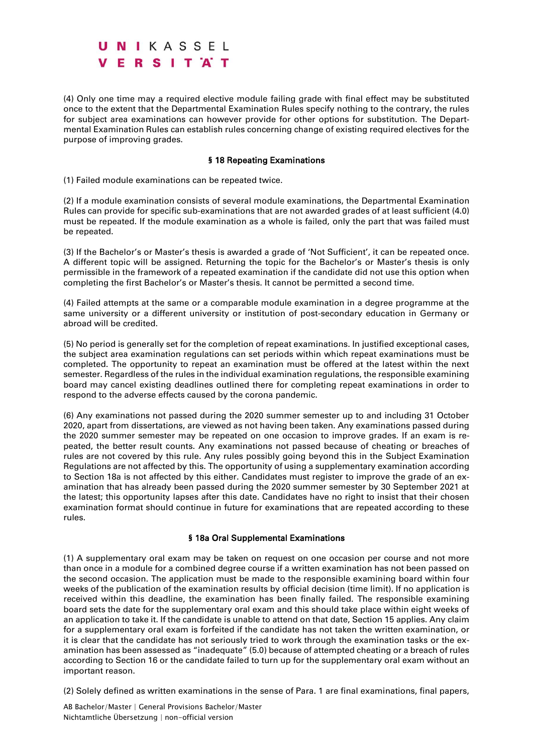(4) Only one time may a required elective module failing grade with final effect may be substituted once to the extent that the Departmental Examination Rules specify nothing to the contrary, the rules for subject area examinations can however provide for other options for substitution. The Departmental Examination Rules can establish rules concerning change of existing required electives for the purpose of improving grades.

#### § 18 Repeating Examinations

(1) Failed module examinations can be repeated twice.

(2) If a module examination consists of several module examinations, the Departmental Examination Rules can provide for specific sub-examinations that are not awarded grades of at least sufficient (4.0) must be repeated. If the module examination as a whole is failed, only the part that was failed must be repeated.

(3) If the Bachelor's or Master's thesis is awarded a grade of 'Not Sufficient', it can be repeated once. A different topic will be assigned. Returning the topic for the Bachelor's or Master's thesis is only permissible in the framework of a repeated examination if the candidate did not use this option when completing the first Bachelor's or Master's thesis. It cannot be permitted a second time.

(4) Failed attempts at the same or a comparable module examination in a degree programme at the same university or a different university or institution of post-secondary education in Germany or abroad will be credited.

(5) No period is generally set for the completion of repeat examinations. In justified exceptional cases, the subject area examination regulations can set periods within which repeat examinations must be completed. The opportunity to repeat an examination must be offered at the latest within the next semester. Regardless of the rules in the individual examination regulations, the responsible examining board may cancel existing deadlines outlined there for completing repeat examinations in order to respond to the adverse effects caused by the corona pandemic.

(6) Any examinations not passed during the 2020 summer semester up to and including 31 October 2020, apart from dissertations, are viewed as not having been taken. Any examinations passed during the 2020 summer semester may be repeated on one occasion to improve grades. If an exam is repeated, the better result counts. Any examinations not passed because of cheating or breaches of rules are not covered by this rule. Any rules possibly going beyond this in the Subject Examination Regulations are not affected by this. The opportunity of using a supplementary examination according to Section 18a is not affected by this either. Candidates must register to improve the grade of an examination that has already been passed during the 2020 summer semester by 30 September 2021 at the latest; this opportunity lapses after this date. Candidates have no right to insist that their chosen examination format should continue in future for examinations that are repeated according to these rules.

#### § 18a Oral Supplemental Examinations

(1) A supplementary oral exam may be taken on request on one occasion per course and not more than once in a module for a combined degree course if a written examination has not been passed on the second occasion. The application must be made to the responsible examining board within four weeks of the publication of the examination results by official decision (time limit). If no application is received within this deadline, the examination has been finally failed. The responsible examining board sets the date for the supplementary oral exam and this should take place within eight weeks of an application to take it. If the candidate is unable to attend on that date, Section 15 applies. Any claim for a supplementary oral exam is forfeited if the candidate has not taken the written examination, or it is clear that the candidate has not seriously tried to work through the examination tasks or the examination has been assessed as "inadequate" (5.0) because of attempted cheating or a breach of rules according to Section 16 or the candidate failed to turn up for the supplementary oral exam without an important reason.

(2) Solely defined as written examinations in the sense of Para. 1 are final examinations, final papers,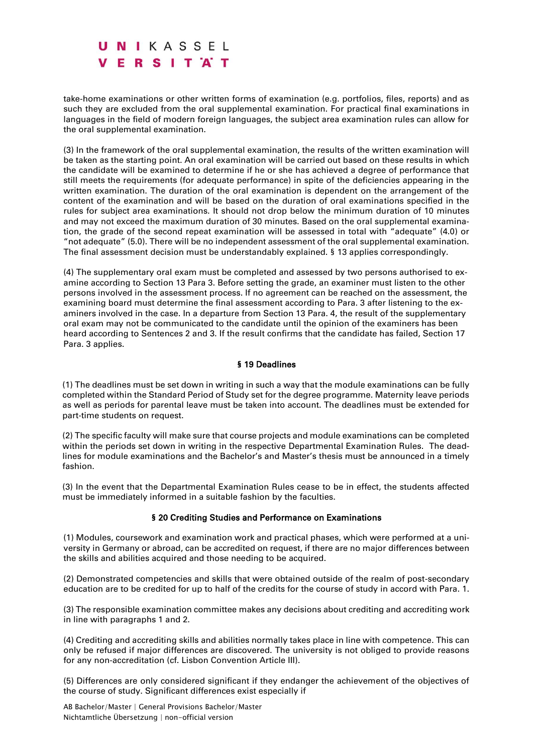take-home examinations or other written forms of examination (e.g. portfolios, files, reports) and as such they are excluded from the oral supplemental examination. For practical final examinations in languages in the field of modern foreign languages, the subject area examination rules can allow for the oral supplemental examination.

(3) In the framework of the oral supplemental examination, the results of the written examination will be taken as the starting point. An oral examination will be carried out based on these results in which the candidate will be examined to determine if he or she has achieved a degree of performance that still meets the requirements (for adequate performance) in spite of the deficiencies appearing in the written examination. The duration of the oral examination is dependent on the arrangement of the content of the examination and will be based on the duration of oral examinations specified in the rules for subject area examinations. It should not drop below the minimum duration of 10 minutes and may not exceed the maximum duration of 30 minutes. Based on the oral supplemental examination, the grade of the second repeat examination will be assessed in total with "adequate" (4.0) or "not adequate" (5.0). There will be no independent assessment of the oral supplemental examination. The final assessment decision must be understandably explained. § 13 applies correspondingly.

(4) The supplementary oral exam must be completed and assessed by two persons authorised to examine according to Section 13 Para 3. Before setting the grade, an examiner must listen to the other persons involved in the assessment process. If no agreement can be reached on the assessment, the examining board must determine the final assessment according to Para. 3 after listening to the examiners involved in the case. In a departure from Section 13 Para. 4, the result of the supplementary oral exam may not be communicated to the candidate until the opinion of the examiners has been heard according to Sentences 2 and 3. If the result confirms that the candidate has failed, Section 17 Para. 3 applies.

### § 19 Deadlines

(1) The deadlines must be set down in writing in such a way that the module examinations can be fully completed within the Standard Period of Study set for the degree programme. Maternity leave periods as well as periods for parental leave must be taken into account. The deadlines must be extended for part-time students on request.

(2) The specific faculty will make sure that course projects and module examinations can be completed within the periods set down in writing in the respective Departmental Examination Rules. The deadlines for module examinations and the Bachelor's and Master's thesis must be announced in a timely fashion.

(3) In the event that the Departmental Examination Rules cease to be in effect, the students affected must be immediately informed in a suitable fashion by the faculties.

### § 20 Crediting Studies and Performance on Examinations

(1) Modules, coursework and examination work and practical phases, which were performed at a university in Germany or abroad, can be accredited on request, if there are no major differences between the skills and abilities acquired and those needing to be acquired.

(2) Demonstrated competencies and skills that were obtained outside of the realm of post-secondary education are to be credited for up to half of the credits for the course of study in accord with Para. 1.

(3) The responsible examination committee makes any decisions about crediting and accrediting work in line with paragraphs 1 and 2.

(4) Crediting and accrediting skills and abilities normally takes place in line with competence. This can only be refused if major differences are discovered. The university is not obliged to provide reasons for any non-accreditation (cf. Lisbon Convention Article III).

(5) Differences are only considered significant if they endanger the achievement of the objectives of the course of study. Significant differences exist especially if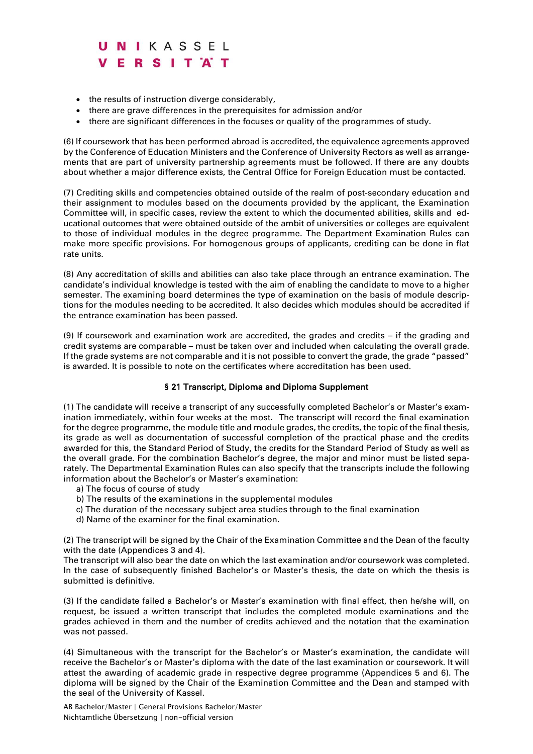- the results of instruction diverge considerably,
- there are grave differences in the prerequisites for admission and/or
- there are significant differences in the focuses or quality of the programmes of study.

(6) If coursework that has been performed abroad is accredited, the equivalence agreements approved by the Conference of Education Ministers and the Conference of University Rectors as well as arrangements that are part of university partnership agreements must be followed. If there are any doubts about whether a major difference exists, the Central Office for Foreign Education must be contacted.

(7) Crediting skills and competencies obtained outside of the realm of post-secondary education and their assignment to modules based on the documents provided by the applicant, the Examination Committee will, in specific cases, review the extent to which the documented abilities, skills and educational outcomes that were obtained outside of the ambit of universities or colleges are equivalent to those of individual modules in the degree programme. The Department Examination Rules can make more specific provisions. For homogenous groups of applicants, crediting can be done in flat rate units.

(8) Any accreditation of skills and abilities can also take place through an entrance examination. The candidate's individual knowledge is tested with the aim of enabling the candidate to move to a higher semester. The examining board determines the type of examination on the basis of module descriptions for the modules needing to be accredited. It also decides which modules should be accredited if the entrance examination has been passed.

(9) If coursework and examination work are accredited, the grades and credits – if the grading and credit systems are comparable – must be taken over and included when calculating the overall grade. If the grade systems are not comparable and it is not possible to convert the grade, the grade "passed" is awarded. It is possible to note on the certificates where accreditation has been used.

### § 21 Transcript, Diploma and Diploma Supplement

(1) The candidate will receive a transcript of any successfully completed Bachelor's or Master's examination immediately, within four weeks at the most. The transcript will record the final examination for the degree programme, the module title and module grades, the credits, the topic of the final thesis, its grade as well as documentation of successful completion of the practical phase and the credits awarded for this, the Standard Period of Study, the credits for the Standard Period of Study as well as the overall grade. For the combination Bachelor's degree, the major and minor must be listed separately. The Departmental Examination Rules can also specify that the transcripts include the following information about the Bachelor's or Master's examination:

- a) The focus of course of study
- b) The results of the examinations in the supplemental modules
- c) The duration of the necessary subject area studies through to the final examination
- d) Name of the examiner for the final examination.

(2) The transcript will be signed by the Chair of the Examination Committee and the Dean of the faculty with the date (Appendices 3 and 4).

The transcript will also bear the date on which the last examination and/or coursework was completed. In the case of subsequently finished Bachelor's or Master's thesis, the date on which the thesis is submitted is definitive.

(3) If the candidate failed a Bachelor's or Master's examination with final effect, then he/she will, on request, be issued a written transcript that includes the completed module examinations and the grades achieved in them and the number of credits achieved and the notation that the examination was not passed.

(4) Simultaneous with the transcript for the Bachelor's or Master's examination, the candidate will receive the Bachelor's or Master's diploma with the date of the last examination or coursework. It will attest the awarding of academic grade in respective degree programme (Appendices 5 and 6). The diploma will be signed by the Chair of the Examination Committee and the Dean and stamped with the seal of the University of Kassel.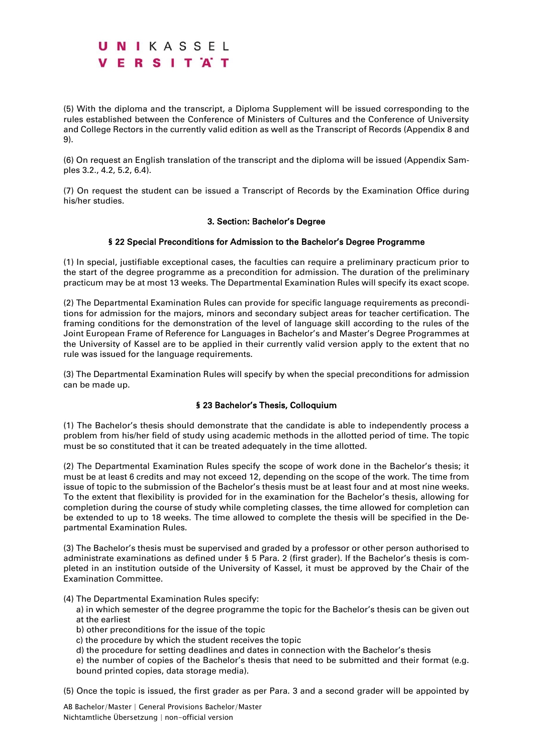(5) With the diploma and the transcript, a Diploma Supplement will be issued corresponding to the rules established between the Conference of Ministers of Cultures and the Conference of University and College Rectors in the currently valid edition as well as the Transcript of Records (Appendix 8 and 9).

(6) On request an English translation of the transcript and the diploma will be issued (Appendix Samples 3.2., 4.2, 5.2, 6.4).

(7) On request the student can be issued a Transcript of Records by the Examination Office during his/her studies.

#### 3. Section: Bachelor's Degree

### § 22 Special Preconditions for Admission to the Bachelor's Degree Programme

(1) In special, justifiable exceptional cases, the faculties can require a preliminary practicum prior to the start of the degree programme as a precondition for admission. The duration of the preliminary practicum may be at most 13 weeks. The Departmental Examination Rules will specify its exact scope.

(2) The Departmental Examination Rules can provide for specific language requirements as preconditions for admission for the majors, minors and secondary subject areas for teacher certification. The framing conditions for the demonstration of the level of language skill according to the rules of the Joint European Frame of Reference for Languages in Bachelor's and Master's Degree Programmes at the University of Kassel are to be applied in their currently valid version apply to the extent that no rule was issued for the language requirements.

(3) The Departmental Examination Rules will specify by when the special preconditions for admission can be made up.

### § 23 Bachelor's Thesis, Colloquium

(1) The Bachelor's thesis should demonstrate that the candidate is able to independently process a problem from his/her field of study using academic methods in the allotted period of time. The topic must be so constituted that it can be treated adequately in the time allotted.

(2) The Departmental Examination Rules specify the scope of work done in the Bachelor's thesis; it must be at least 6 credits and may not exceed 12, depending on the scope of the work. The time from issue of topic to the submission of the Bachelor's thesis must be at least four and at most nine weeks. To the extent that flexibility is provided for in the examination for the Bachelor's thesis, allowing for completion during the course of study while completing classes, the time allowed for completion can be extended to up to 18 weeks. The time allowed to complete the thesis will be specified in the Departmental Examination Rules.

(3) The Bachelor's thesis must be supervised and graded by a professor or other person authorised to administrate examinations as defined under § 5 Para. 2 (first grader). If the Bachelor's thesis is completed in an institution outside of the University of Kassel, it must be approved by the Chair of the Examination Committee.

(4) The Departmental Examination Rules specify:

- a) in which semester of the degree programme the topic for the Bachelor's thesis can be given out at the earliest
- b) other preconditions for the issue of the topic
- c) the procedure by which the student receives the topic
- d) the procedure for setting deadlines and dates in connection with the Bachelor's thesis

e) the number of copies of the Bachelor's thesis that need to be submitted and their format (e.g. bound printed copies, data storage media).

(5) Once the topic is issued, the first grader as per Para. 3 and a second grader will be appointed by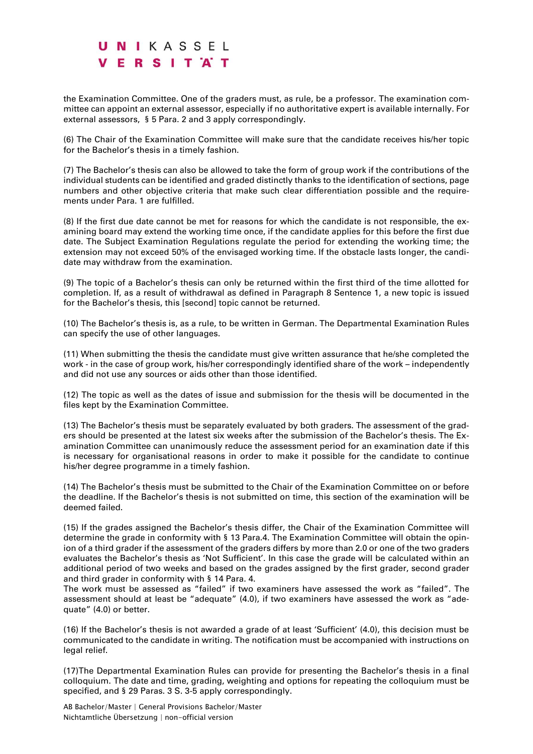the Examination Committee. One of the graders must, as rule, be a professor. The examination committee can appoint an external assessor, especially if no authoritative expert is available internally. For external assessors, § 5 Para. 2 and 3 apply correspondingly.

(6) The Chair of the Examination Committee will make sure that the candidate receives his/her topic for the Bachelor's thesis in a timely fashion.

(7) The Bachelor's thesis can also be allowed to take the form of group work if the contributions of the individual students can be identified and graded distinctly thanks to the identification of sections, page numbers and other objective criteria that make such clear differentiation possible and the requirements under Para. 1 are fulfilled.

(8) If the first due date cannot be met for reasons for which the candidate is not responsible, the examining board may extend the working time once, if the candidate applies for this before the first due date. The Subject Examination Regulations regulate the period for extending the working time; the extension may not exceed 50% of the envisaged working time. If the obstacle lasts longer, the candidate may withdraw from the examination.

(9) The topic of a Bachelor's thesis can only be returned within the first third of the time allotted for completion. If, as a result of withdrawal as defined in Paragraph 8 Sentence 1, a new topic is issued for the Bachelor's thesis, this [second] topic cannot be returned.

(10) The Bachelor's thesis is, as a rule, to be written in German. The Departmental Examination Rules can specify the use of other languages.

(11) When submitting the thesis the candidate must give written assurance that he/she completed the work - in the case of group work, his/her correspondingly identified share of the work – independently and did not use any sources or aids other than those identified.

(12) The topic as well as the dates of issue and submission for the thesis will be documented in the files kept by the Examination Committee.

(13) The Bachelor's thesis must be separately evaluated by both graders. The assessment of the graders should be presented at the latest six weeks after the submission of the Bachelor's thesis. The Examination Committee can unanimously reduce the assessment period for an examination date if this is necessary for organisational reasons in order to make it possible for the candidate to continue his/her degree programme in a timely fashion.

(14) The Bachelor's thesis must be submitted to the Chair of the Examination Committee on or before the deadline. If the Bachelor's thesis is not submitted on time, this section of the examination will be deemed failed.

(15) If the grades assigned the Bachelor's thesis differ, the Chair of the Examination Committee will determine the grade in conformity with § 13 Para.4. The Examination Committee will obtain the opinion of a third grader if the assessment of the graders differs by more than 2.0 or one of the two graders evaluates the Bachelor's thesis as 'Not Sufficient'. In this case the grade will be calculated within an additional period of two weeks and based on the grades assigned by the first grader, second grader and third grader in conformity with § 14 Para. 4.

The work must be assessed as "failed" if two examiners have assessed the work as "failed". The assessment should at least be "adequate" (4.0), if two examiners have assessed the work as "adequate" (4.0) or better.

(16) If the Bachelor's thesis is not awarded a grade of at least 'Sufficient' (4.0), this decision must be communicated to the candidate in writing. The notification must be accompanied with instructions on legal relief.

(17)The Departmental Examination Rules can provide for presenting the Bachelor's thesis in a final colloquium. The date and time, grading, weighting and options for repeating the colloquium must be specified, and § 29 Paras. 3 S. 3-5 apply correspondingly.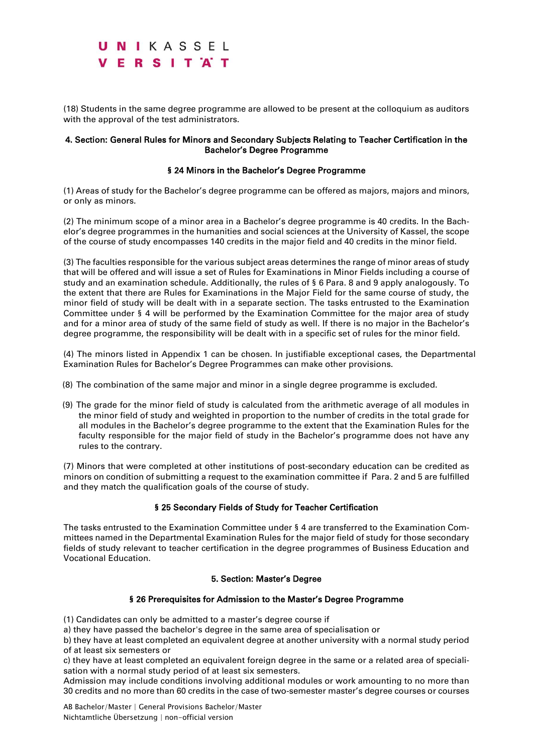(18) Students in the same degree programme are allowed to be present at the colloquium as auditors with the approval of the test administrators.

#### 4. Section: General Rules for Minors and Secondary Subjects Relating to Teacher Certification in the Bachelor's Degree Programme

### § 24 Minors in the Bachelor's Degree Programme

(1) Areas of study for the Bachelor's degree programme can be offered as majors, majors and minors, or only as minors.

(2) The minimum scope of a minor area in a Bachelor's degree programme is 40 credits. In the Bachelor's degree programmes in the humanities and social sciences at the University of Kassel, the scope of the course of study encompasses 140 credits in the major field and 40 credits in the minor field.

(3) The faculties responsible for the various subject areas determines the range of minor areas of study that will be offered and will issue a set of Rules for Examinations in Minor Fields including a course of study and an examination schedule. Additionally, the rules of § 6 Para. 8 and 9 apply analogously. To the extent that there are Rules for Examinations in the Major Field for the same course of study, the minor field of study will be dealt with in a separate section. The tasks entrusted to the Examination Committee under § 4 will be performed by the Examination Committee for the major area of study and for a minor area of study of the same field of study as well. If there is no major in the Bachelor's degree programme, the responsibility will be dealt with in a specific set of rules for the minor field.

(4) The minors listed in Appendix 1 can be chosen. In justifiable exceptional cases, the Departmental Examination Rules for Bachelor's Degree Programmes can make other provisions.

- (8) The combination of the same major and minor in a single degree programme is excluded.
- (9) The grade for the minor field of study is calculated from the arithmetic average of all modules in the minor field of study and weighted in proportion to the number of credits in the total grade for all modules in the Bachelor's degree programme to the extent that the Examination Rules for the faculty responsible for the major field of study in the Bachelor's programme does not have any rules to the contrary.

(7) Minors that were completed at other institutions of post-secondary education can be credited as minors on condition of submitting a request to the examination committee if Para. 2 and 5 are fulfilled and they match the qualification goals of the course of study.

### § 25 Secondary Fields of Study for Teacher Certification

The tasks entrusted to the Examination Committee under § 4 are transferred to the Examination Committees named in the Departmental Examination Rules for the major field of study for those secondary fields of study relevant to teacher certification in the degree programmes of Business Education and Vocational Education.

#### 5. Section: Master's Degree

### § 26 Prerequisites for Admission to the Master's Degree Programme

(1) Candidates can only be admitted to a master's degree course if

a) they have passed the bachelor's degree in the same area of specialisation or

b) they have at least completed an equivalent degree at another university with a normal study period of at least six semesters or

c) they have at least completed an equivalent foreign degree in the same or a related area of specialisation with a normal study period of at least six semesters.

Admission may include conditions involving additional modules or work amounting to no more than 30 credits and no more than 60 credits in the case of two-semester master's degree courses or courses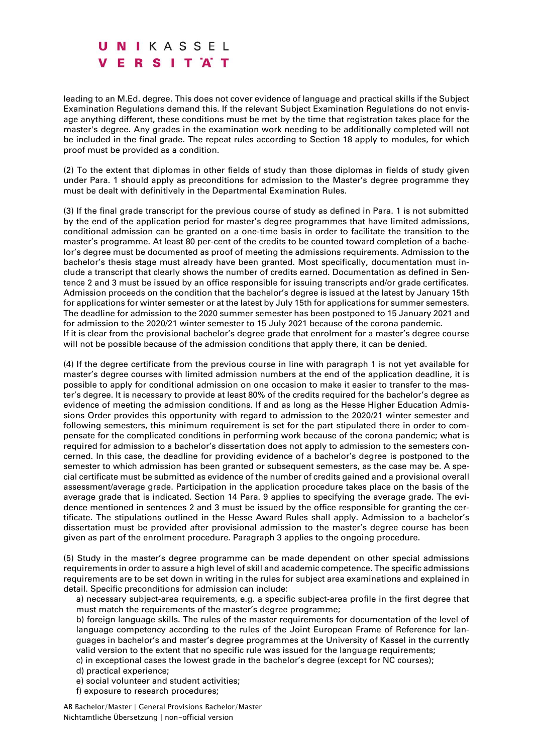leading to an M.Ed. degree. This does not cover evidence of language and practical skills if the Subject Examination Regulations demand this. If the relevant Subject Examination Regulations do not envisage anything different, these conditions must be met by the time that registration takes place for the master's degree. Any grades in the examination work needing to be additionally completed will not be included in the final grade. The repeat rules according to Section 18 apply to modules, for which proof must be provided as a condition.

(2) To the extent that diplomas in other fields of study than those diplomas in fields of study given under Para. 1 should apply as preconditions for admission to the Master's degree programme they must be dealt with definitively in the Departmental Examination Rules.

(3) If the final grade transcript for the previous course of study as defined in Para. 1 is not submitted by the end of the application period for master's degree programmes that have limited admissions, conditional admission can be granted on a one-time basis in order to facilitate the transition to the master's programme. At least 80 per-cent of the credits to be counted toward completion of a bachelor's degree must be documented as proof of meeting the admissions requirements. Admission to the bachelor's thesis stage must already have been granted. Most specifically, documentation must include a transcript that clearly shows the number of credits earned. Documentation as defined in Sentence 2 and 3 must be issued by an office responsible for issuing transcripts and/or grade certificates. Admission proceeds on the condition that the bachelor's degree is issued at the latest by January 15th for applications for winter semester or at the latest by July 15th for applications for summer semesters. The deadline for admission to the 2020 summer semester has been postponed to 15 January 2021 and for admission to the 2020/21 winter semester to 15 July 2021 because of the corona pandemic. If it is clear from the provisional bachelor's degree grade that enrolment for a master's degree course will not be possible because of the admission conditions that apply there, it can be denied.

(4) If the degree certificate from the previous course in line with paragraph 1 is not yet available for master's degree courses with limited admission numbers at the end of the application deadline, it is possible to apply for conditional admission on one occasion to make it easier to transfer to the master's degree. It is necessary to provide at least 80% of the credits required for the bachelor's degree as evidence of meeting the admission conditions. If and as long as the Hesse Higher Education Admissions Order provides this opportunity with regard to admission to the 2020/21 winter semester and following semesters, this minimum requirement is set for the part stipulated there in order to compensate for the complicated conditions in performing work because of the corona pandemic; what is required for admission to a bachelor's dissertation does not apply to admission to the semesters concerned. In this case, the deadline for providing evidence of a bachelor's degree is postponed to the semester to which admission has been granted or subsequent semesters, as the case may be. A special certificate must be submitted as evidence of the number of credits gained and a provisional overall assessment/average grade. Participation in the application procedure takes place on the basis of the average grade that is indicated. Section 14 Para. 9 applies to specifying the average grade. The evidence mentioned in sentences 2 and 3 must be issued by the office responsible for granting the certificate. The stipulations outlined in the Hesse Award Rules shall apply. Admission to a bachelor's dissertation must be provided after provisional admission to the master's degree course has been given as part of the enrolment procedure. Paragraph 3 applies to the ongoing procedure.

(5) Study in the master's degree programme can be made dependent on other special admissions requirements in order to assure a high level of skill and academic competence. The specific admissions requirements are to be set down in writing in the rules for subject area examinations and explained in detail. Specific preconditions for admission can include:

a) necessary subject-area requirements, e.g. a specific subject-area profile in the first degree that must match the requirements of the master's degree programme;

b) foreign language skills. The rules of the master requirements for documentation of the level of language competency according to the rules of the Joint European Frame of Reference for languages in bachelor's and master's degree programmes at the University of Kassel in the currently valid version to the extent that no specific rule was issued for the language requirements;

c) in exceptional cases the lowest grade in the bachelor's degree (except for NC courses);

d) practical experience;

e) social volunteer and student activities;

f) exposure to research procedures;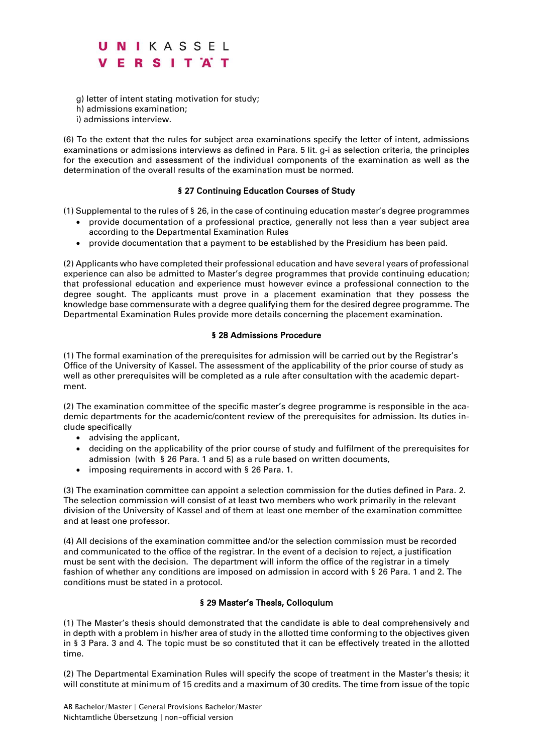- g) letter of intent stating motivation for study;
- h) admissions examination;
- i) admissions interview.

(6) To the extent that the rules for subject area examinations specify the letter of intent, admissions examinations or admissions interviews as defined in Para. 5 lit. g-i as selection criteria, the principles for the execution and assessment of the individual components of the examination as well as the determination of the overall results of the examination must be normed.

#### § 27 Continuing Education Courses of Study

(1) Supplemental to the rules of § 26, in the case of continuing education master's degree programmes

- provide documentation of a professional practice, generally not less than a year subject area according to the Departmental Examination Rules
- provide documentation that a payment to be established by the Presidium has been paid.

(2) Applicants who have completed their professional education and have several years of professional experience can also be admitted to Master's degree programmes that provide continuing education; that professional education and experience must however evince a professional connection to the degree sought. The applicants must prove in a placement examination that they possess the knowledge base commensurate with a degree qualifying them for the desired degree programme. The Departmental Examination Rules provide more details concerning the placement examination.

#### § 28 Admissions Procedure

(1) The formal examination of the prerequisites for admission will be carried out by the Registrar's Office of the University of Kassel. The assessment of the applicability of the prior course of study as well as other prerequisites will be completed as a rule after consultation with the academic department.

(2) The examination committee of the specific master's degree programme is responsible in the academic departments for the academic/content review of the prerequisites for admission. Its duties include specifically

- advising the applicant,
- deciding on the applicability of the prior course of study and fulfilment of the prerequisites for admission (with § 26 Para. 1 and 5) as a rule based on written documents,
- imposing requirements in accord with § 26 Para. 1.

(3) The examination committee can appoint a selection commission for the duties defined in Para. 2. The selection commission will consist of at least two members who work primarily in the relevant division of the University of Kassel and of them at least one member of the examination committee and at least one professor.

(4) All decisions of the examination committee and/or the selection commission must be recorded and communicated to the office of the registrar. In the event of a decision to reject, a justification must be sent with the decision. The department will inform the office of the registrar in a timely fashion of whether any conditions are imposed on admission in accord with § 26 Para. 1 and 2. The conditions must be stated in a protocol.

### § 29 Master's Thesis, Colloquium

(1) The Master's thesis should demonstrated that the candidate is able to deal comprehensively and in depth with a problem in his/her area of study in the allotted time conforming to the objectives given in § 3 Para. 3 and 4. The topic must be so constituted that it can be effectively treated in the allotted time.

(2) The Departmental Examination Rules will specify the scope of treatment in the Master's thesis; it will constitute at minimum of 15 credits and a maximum of 30 credits. The time from issue of the topic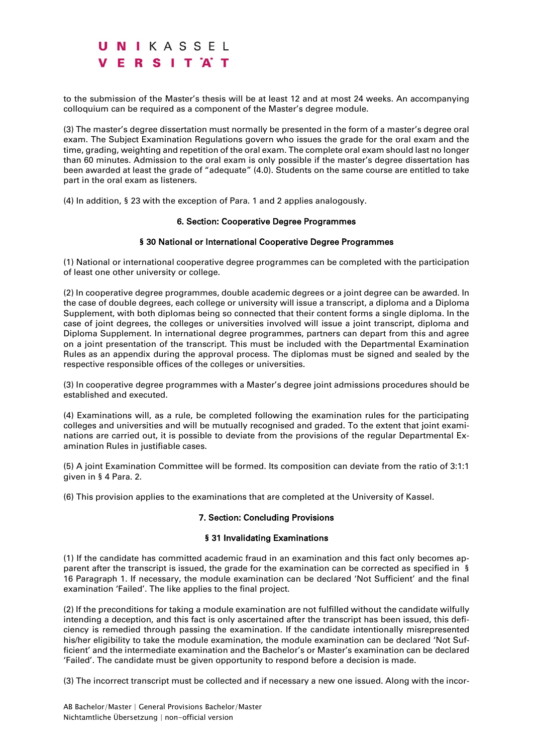to the submission of the Master's thesis will be at least 12 and at most 24 weeks. An accompanying colloquium can be required as a component of the Master's degree module.

(3) The master's degree dissertation must normally be presented in the form of a master's degree oral exam. The Subject Examination Regulations govern who issues the grade for the oral exam and the time, grading, weighting and repetition of the oral exam. The complete oral exam should last no longer than 60 minutes. Admission to the oral exam is only possible if the master's degree dissertation has been awarded at least the grade of "adequate" (4.0). Students on the same course are entitled to take part in the oral exam as listeners.

(4) In addition, § 23 with the exception of Para. 1 and 2 applies analogously.

#### 6. Section: Cooperative Degree Programmes

#### § 30 National or International Cooperative Degree Programmes

(1) National or international cooperative degree programmes can be completed with the participation of least one other university or college.

(2) In cooperative degree programmes, double academic degrees or a joint degree can be awarded. In the case of double degrees, each college or university will issue a transcript, a diploma and a Diploma Supplement, with both diplomas being so connected that their content forms a single diploma. In the case of joint degrees, the colleges or universities involved will issue a joint transcript, diploma and Diploma Supplement. In international degree programmes, partners can depart from this and agree on a joint presentation of the transcript. This must be included with the Departmental Examination Rules as an appendix during the approval process. The diplomas must be signed and sealed by the respective responsible offices of the colleges or universities.

(3) In cooperative degree programmes with a Master's degree joint admissions procedures should be established and executed.

(4) Examinations will, as a rule, be completed following the examination rules for the participating colleges and universities and will be mutually recognised and graded. To the extent that joint examinations are carried out, it is possible to deviate from the provisions of the regular Departmental Examination Rules in justifiable cases.

(5) A joint Examination Committee will be formed. Its composition can deviate from the ratio of 3:1:1 given in § 4 Para. 2.

(6) This provision applies to the examinations that are completed at the University of Kassel.

#### 7. Section: Concluding Provisions

#### § 31 Invalidating Examinations

(1) If the candidate has committed academic fraud in an examination and this fact only becomes apparent after the transcript is issued, the grade for the examination can be corrected as specified in § 16 Paragraph 1. If necessary, the module examination can be declared 'Not Sufficient' and the final examination 'Failed'. The like applies to the final project.

(2) If the preconditions for taking a module examination are not fulfilled without the candidate wilfully intending a deception, and this fact is only ascertained after the transcript has been issued, this deficiency is remedied through passing the examination. If the candidate intentionally misrepresented his/her eligibility to take the module examination, the module examination can be declared 'Not Sufficient' and the intermediate examination and the Bachelor's or Master's examination can be declared 'Failed'. The candidate must be given opportunity to respond before a decision is made.

(3) The incorrect transcript must be collected and if necessary a new one issued. Along with the incor-